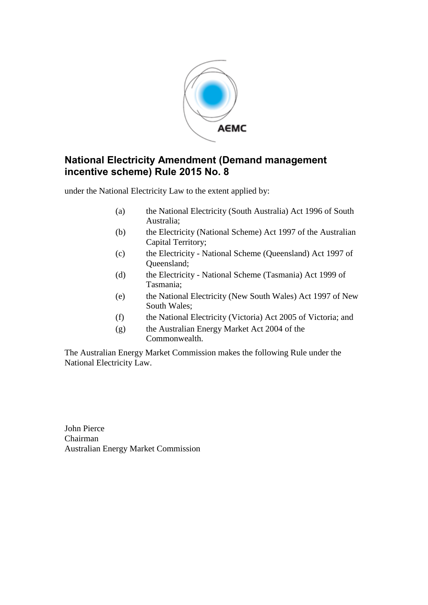

#### **National Electricity Amendment (Demand management incentive scheme) Rule 2015 No. 8**

under the National Electricity Law to the extent applied by:

- (a) the National Electricity (South Australia) Act 1996 of South Australia;
- (b) the Electricity (National Scheme) Act 1997 of the Australian Capital Territory;
- (c) the Electricity National Scheme (Queensland) Act 1997 of Queensland;
- (d) the Electricity National Scheme (Tasmania) Act 1999 of Tasmania;
- (e) the National Electricity (New South Wales) Act 1997 of New South Wales;
- (f) the National Electricity (Victoria) Act 2005 of Victoria; and
- (g) the Australian Energy Market Act 2004 of the Commonwealth.

The Australian Energy Market Commission makes the following Rule under the National Electricity Law.

John Pierce Chairman Australian Energy Market Commission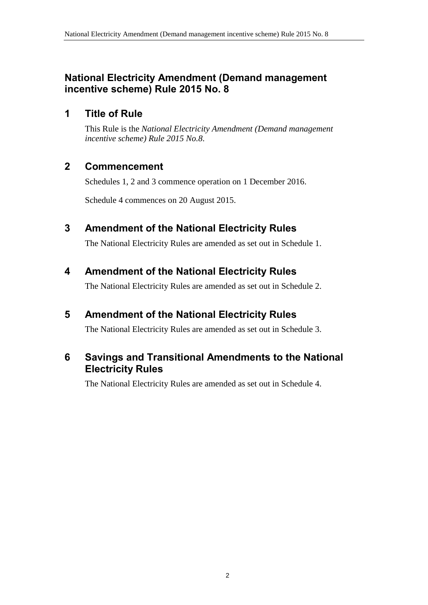### **National Electricity Amendment (Demand management incentive scheme) Rule 2015 No. 8**

## **1 Title of Rule**

This Rule is the *National Electricity Amendment (Demand management incentive scheme) Rule 2015 No.8*.

## **2 Commencement**

Schedules 1, 2 and 3 commence operation on 1 December 2016.

Schedule 4 commences on 20 August 2015.

## <span id="page-1-0"></span>**3 Amendment of the National Electricity Rules**

The National Electricity Rules are amended as set out in [Schedule 1.](#page-2-0)

## <span id="page-1-1"></span>**4 Amendment of the National Electricity Rules**

The National Electricity Rules are amended as set out in [Schedule 2.](#page-5-0)

## <span id="page-1-2"></span>**5 Amendment of the National Electricity Rules**

The National Electricity Rules are amended as set out in [Schedule 3.](#page-7-0)

### **6 Savings and Transitional Amendments to the National Electricity Rules**

The National Electricity Rules are amended as set out in [Schedule 4.](#page-8-0)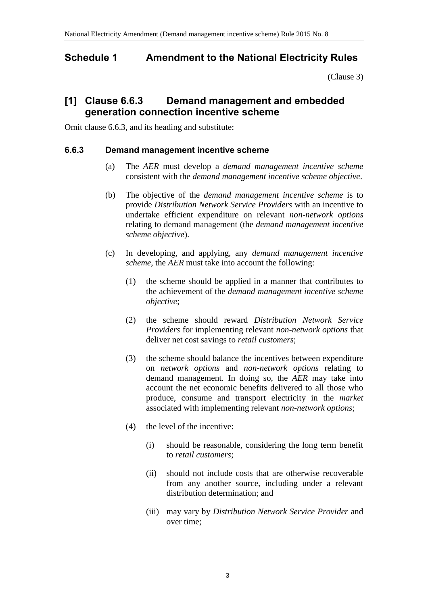### <span id="page-2-0"></span>**Schedule 1 Amendment to the National Electricity Rules**

[\(Clause 3\)](#page-1-0)

### **[1] Clause 6.6.3 Demand management and embedded generation connection incentive scheme**

Omit clause 6.6.3, and its heading and substitute:

#### **6.6.3 Demand management incentive scheme**

- (a) The *AER* must develop a *demand management incentive scheme* consistent with the *demand management incentive scheme objective*.
- (b) The objective of the *demand management incentive scheme* is to provide *Distribution Network Service Providers* with an incentive to undertake efficient expenditure on relevant *non-network options* relating to demand management (the *demand management incentive scheme objective*).
- (c) In developing, and applying, any *demand management incentive scheme*, the *AER* must take into account the following:
	- (1) the scheme should be applied in a manner that contributes to the achievement of the *demand management incentive scheme objective*;
	- (2) the scheme should reward *Distribution Network Service Providers* for implementing relevant *non-network options* that deliver net cost savings to *retail customers*;
	- (3) the scheme should balance the incentives between expenditure on *network options* and *non-network options* relating to demand management. In doing so, the *AER* may take into account the net economic benefits delivered to all those who produce, consume and transport electricity in the *market* associated with implementing relevant *non-network options*;
	- (4) the level of the incentive:
		- (i) should be reasonable, considering the long term benefit to *retail customers*;
		- (ii) should not include costs that are otherwise recoverable from any another source, including under a relevant distribution determination; and
		- (iii) may vary by *Distribution Network Service Provider* and over time;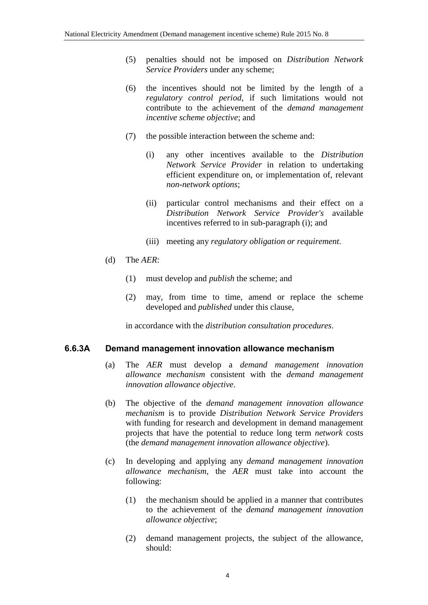- (5) penalties should not be imposed on *Distribution Network Service Providers* under any scheme;
- (6) the incentives should not be limited by the length of a *regulatory control period*, if such limitations would not contribute to the achievement of the *demand management incentive scheme objective*; and
- (7) the possible interaction between the scheme and:
	- (i) any other incentives available to the *Distribution Network Service Provider* in relation to undertaking efficient expenditure on, or implementation of, relevant *non-network options*;
	- (ii) particular control mechanisms and their effect on a *Distribution Network Service Provider's* available incentives referred to in sub-paragraph (i); and
	- (iii) meeting any *regulatory obligation or requirement*.
- (d) The *AER*:
	- (1) must develop and *publish* the scheme; and
	- (2) may, from time to time, amend or replace the scheme developed and *published* under this clause,

in accordance with the *distribution consultation procedures*.

#### **6.6.3A Demand management innovation allowance mechanism**

- (a) The *AER* must develop a *demand management innovation allowance mechanism* consistent with the *demand management innovation allowance objective*.
- (b) The objective of the *demand management innovation allowance mechanism* is to provide *Distribution Network Service Providers* with funding for research and development in demand management projects that have the potential to reduce long term *network* costs (the *demand management innovation allowance objective*).
- (c) In developing and applying any *demand management innovation allowance mechanism*, the *AER* must take into account the following:
	- (1) the mechanism should be applied in a manner that contributes to the achievement of the *demand management innovation allowance objective*;
	- (2) demand management projects, the subject of the allowance, should: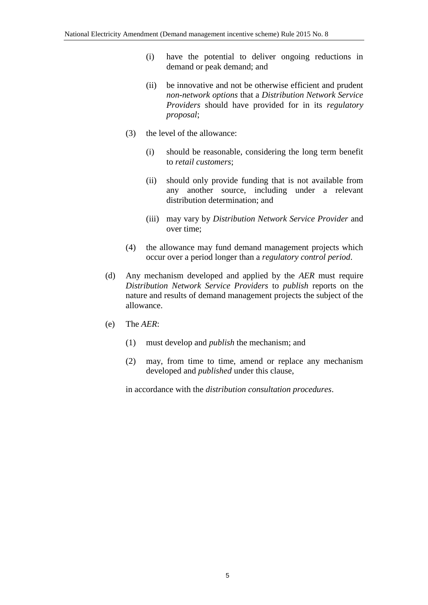- (i) have the potential to deliver ongoing reductions in demand or peak demand; and
- (ii) be innovative and not be otherwise efficient and prudent *non-network options* that a *Distribution Network Service Providers* should have provided for in its *regulatory proposal*;
- (3) the level of the allowance:
	- (i) should be reasonable, considering the long term benefit to *retail customers*;
	- (ii) should only provide funding that is not available from any another source, including under a relevant distribution determination; and
	- (iii) may vary by *Distribution Network Service Provider* and over time;
- (4) the allowance may fund demand management projects which occur over a period longer than a *regulatory control period*.
- (d) Any mechanism developed and applied by the *AER* must require *Distribution Network Service Providers* to *publish* reports on the nature and results of demand management projects the subject of the allowance.
- (e) The *AER*:
	- (1) must develop and *publish* the mechanism; and
	- (2) may, from time to time, amend or replace any mechanism developed and *published* under this clause,

in accordance with the *distribution consultation procedures*.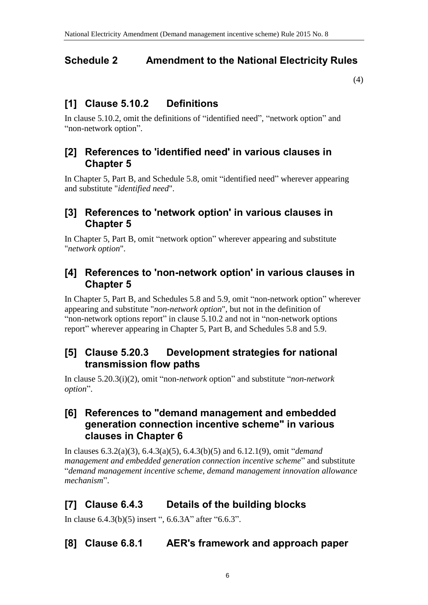## <span id="page-5-0"></span>**Schedule 2 Amendment to the National Electricity Rules**

[\(4\)](#page-1-1)

### **[1] Clause 5.10.2 Definitions**

In clause 5.10.2, omit the definitions of "identified need", "network option" and "non-network option".

#### **[2] References to 'identified need' in various clauses in Chapter 5**

In Chapter 5, Part B, and Schedule 5.8, omit "identified need" wherever appearing and substitute "*identified need*".

#### **[3] References to 'network option' in various clauses in Chapter 5**

In Chapter 5, Part B, omit "network option" wherever appearing and substitute "*network option*".

#### **[4] References to 'non-network option' in various clauses in Chapter 5**

In Chapter 5, Part B, and Schedules 5.8 and 5.9, omit "non-network option" wherever appearing and substitute "*non-network option*", but not in the definition of "non-network options report" in clause 5.10.2 and not in "non-network options report" wherever appearing in Chapter 5, Part B, and Schedules 5.8 and 5.9.

### **[5] Clause 5.20.3 Development strategies for national transmission flow paths**

In clause 5.20.3(i)(2), omit "non-*network* option" and substitute "*non-network option*".

#### **[6] References to "demand management and embedded generation connection incentive scheme" in various clauses in Chapter 6**

In clauses 6.3.2(a)(3), 6.4.3(a)(5), 6.4.3(b)(5) and 6.12.1(9), omit "*demand management and embedded generation connection incentive scheme*" and substitute "*demand management incentive scheme*, *demand management innovation allowance mechanism*".

# **[7] Clause 6.4.3 Details of the building blocks**

In clause 6.4.3(b)(5) insert ", 6.6.3A" after "6.6.3".

## **[8] Clause 6.8.1 AER's framework and approach paper**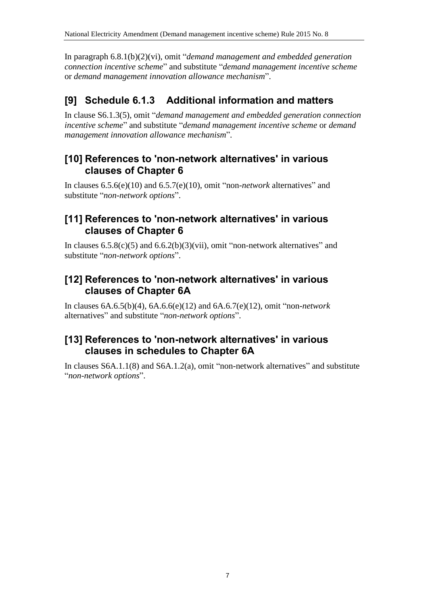In paragraph 6.8.1(b)(2)(vi), omit "*demand management and embedded generation connection incentive scheme*" and substitute "*demand management incentive scheme* or *demand management innovation allowance mechanism*".

# **[9] Schedule 6.1.3 Additional information and matters**

In clause S6.1.3(5), omit "*demand management and embedded generation connection incentive scheme*" and substitute "*demand management incentive scheme* or *demand management innovation allowance mechanism*".

### **[10] References to 'non-network alternatives' in various clauses of Chapter 6**

In clauses 6.5.6(e)(10) and 6.5.7(e)(10), omit "non-*network* alternatives" and substitute "*non-network options*".

### **[11] References to 'non-network alternatives' in various clauses of Chapter 6**

In clauses  $6.5.8(c)(5)$  and  $6.6.2(b)(3)(vii)$ , omit "non-network alternatives" and substitute "*non-network options*".

### **[12] References to 'non-network alternatives' in various clauses of Chapter 6A**

In clauses 6A.6.5(b)(4), 6A.6.6(e)(12) and 6A.6.7(e)(12), omit "non-*network* alternatives" and substitute "*non-network options*".

### **[13] References to 'non-network alternatives' in various clauses in schedules to Chapter 6A**

In clauses S6A.1.1(8) and S6A.1.2(a), omit "non-network alternatives" and substitute "*non-network options*".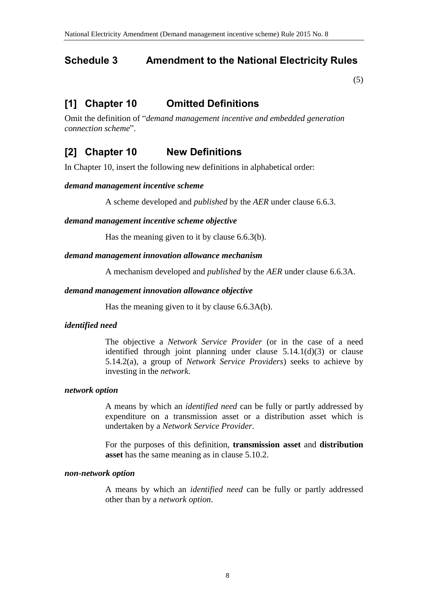### <span id="page-7-0"></span>**Schedule 3 Amendment to the National Electricity Rules**

[\(5\)](#page-1-2)

## **[1] Chapter 10 Omitted Definitions**

Omit the definition of "*demand management incentive and embedded generation connection scheme*".

## **[2] Chapter 10 New Definitions**

In Chapter 10, insert the following new definitions in alphabetical order:

#### *demand management incentive scheme*

A scheme developed and *published* by the *AER* under clause 6.6.3.

#### *demand management incentive scheme objective*

Has the meaning given to it by clause 6.6.3(b).

#### *demand management innovation allowance mechanism*

A mechanism developed and *published* by the *AER* under clause 6.6.3A.

#### *demand management innovation allowance objective*

Has the meaning given to it by clause 6.6.3A(b).

#### *identified need*

The objective a *Network Service Provider* (or in the case of a need identified through joint planning under clause 5.14.1(d)(3) or clause 5.14.2(a), a group of *Network Service Providers*) seeks to achieve by investing in the *network*.

#### *network option*

A means by which an *identified need* can be fully or partly addressed by expenditure on a transmission asset or a distribution asset which is undertaken by a *Network Service Provider*.

For the purposes of this definition, **transmission asset** and **distribution asset** has the same meaning as in clause 5.10.2.

#### *non-network option*

A means by which an *identified need* can be fully or partly addressed other than by a *network option*.